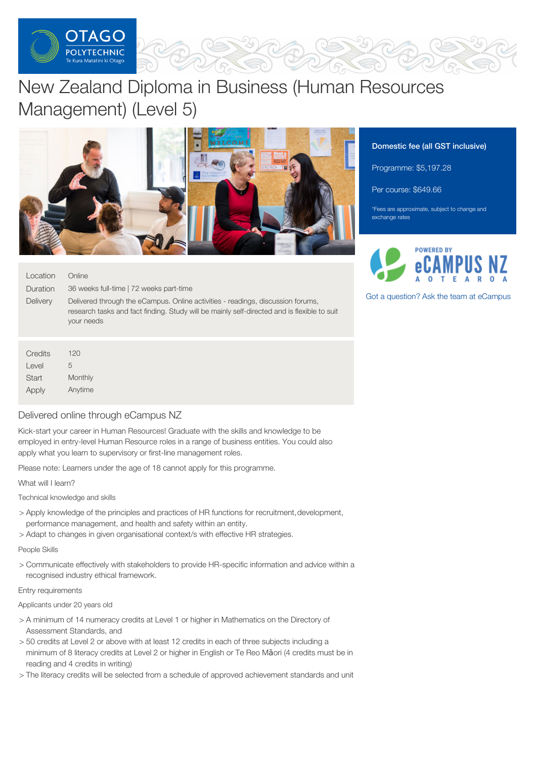

# New Zealand Diploma in Business (Human Resources Management) (Level 5)



| Location<br>Duration<br><b>Delivery</b> | Online<br>36 weeks full-time   72 weeks part-time<br>Delivered through the eCampus. Online activities - readings, discussion forums,<br>research tasks and fact finding. Study will be mainly self-directed and is flexible to suit<br>your needs |
|-----------------------------------------|---------------------------------------------------------------------------------------------------------------------------------------------------------------------------------------------------------------------------------------------------|
|                                         |                                                                                                                                                                                                                                                   |
| Credits                                 | 120                                                                                                                                                                                                                                               |

| Credits | 120     |  |  |
|---------|---------|--|--|
| Level   | 5       |  |  |
| Start   | Monthly |  |  |
| Apply   | Anytime |  |  |

## Delivered online through eCampus NZ

Kick-start your career in Human Resources! Graduate with the skills and knowledge to be employed in entry-level Human Resource roles in a range of business entities. You could also apply what you learn to supervisory or first-line management roles.

Please note: Learners under the age of 18 cannot apply for this programme.

What will I learn?

Technical knowledge and skills

- > Apply knowledge of the principles and practices of HR functions for recruitment, development, performance management, and health and safety within an entity.
- > Adapt to changes in given organisational context/s with effective HR strategies.

## People Skills

> Communicate effectively with stakeholders to provide HR-specific information and advice within a recognised industry ethical framework.

## Entry requirements

Applicants under 20 years old

- > A minimum of 14 numeracy credits at Level 1 or higher in Mathematics on the Directory of Assessment Standards, and
- > 50 credits at Level 2 or above with at least 12 credits in each of three subjects including a minimum of 8 literacy credits at Level 2 or higher in English or Te Reo Māori (4 credits must be in reading and 4 credits in writing)
- > The literacy credits will be selected from a schedule of approved achievement standards and unit

## Domestic fee (all GST inclusive)

Programme: \$5,197.28

Per course: \$649.66

\*Fees are approximate, subject to change and exchange rates



Got a [question?](https://www.tanzecampus.com/business/new-zealand-diploma-in-business-human-resource-management-level-5?itp=op) Ask the team at eCampus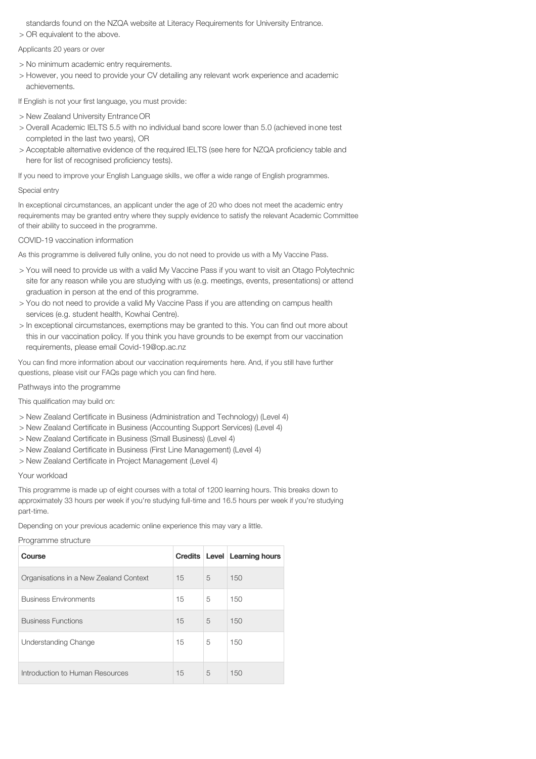standards found on the NZQA website at Literacy Requirements for University Entrance.

> OR equivalent to the above.

Applicants 20 years or over

- > No minimum academic entry requirements.
- > However, you need to provide your CV detailing any relevant work experience and academic achievements.

If English is not your first language, you must provide:

- > New Zealand University Entrance OR
- > Overall Academic IELTS 5.5 with no individual band score lower than 5.0 (achieved inone test completed in the last two years), OR
- > Acceptable alternative evidence of the required IELTS (see here for NZQA proficiency table and here for list of recognised proficiency tests).

If you need to improve your English Language skills, we offer a wide range of English programmes.

### Special entry

In exceptional circumstances, an applicant under the age of 20 who does not meet the academic entry requirements may be granted entry where they supply evidence to satisfy the relevant Academic Committee of their ability to succeed in the programme.

#### COVID-19 vaccination information

As this programme is delivered fully online, you do not need to provide us with a My Vaccine Pass.

- > You will need to provide us with a valid My Vaccine Pass if you want to visit an Otago Polytechnic site for any reason while you are studying with us (e.g. meetings, events, presentations) or attend graduation in person at the end of this programme.
- > You do not need to provide a valid My Vaccine Pass if you are attending on campus health services (e.g. student health, Kowhai Centre).
- > In exceptional circumstances, exemptions may be granted to this. You can find out more about this in our vaccination policy. If you think you have grounds to be exempt from our vaccination requirements, please email Covid-19@op.ac.nz

You can find more information about our vaccination requirements here. And, if you still have further questions, please visit our FAQs page which you can find here.

#### Pathways into the programme

This qualification may build on:

- > New Zealand Certificate in Business (Administration and Technology) (Level 4)
- > New Zealand Certificate in Business (Accounting Support Services) (Level 4)
- > New Zealand Certificate in Business (Small Business) (Level 4)
- > New Zealand Certificate in Business (First Line Management) (Level 4)
- > New Zealand Certificate in Project Management (Level 4)

#### Your workload

This programme is made up of eight courses with a total of 1200 learning hours. This breaks down to approximately 33 hours per week if you're studying full-time and 16.5 hours per week if you're studying part-time.

Depending on your previous academic online experience this may vary a little.

#### Programme structure

| Course                                 |    |   | Credits   Level   Learning hours |
|----------------------------------------|----|---|----------------------------------|
| Organisations in a New Zealand Context | 15 | 5 | 150                              |
| <b>Business Environments</b>           | 15 | 5 | 150                              |
| <b>Business Functions</b>              | 15 | 5 | 150                              |
| Understanding Change                   | 15 | 5 | 150                              |
| Introduction to Human Resources        | 15 | 5 | 150                              |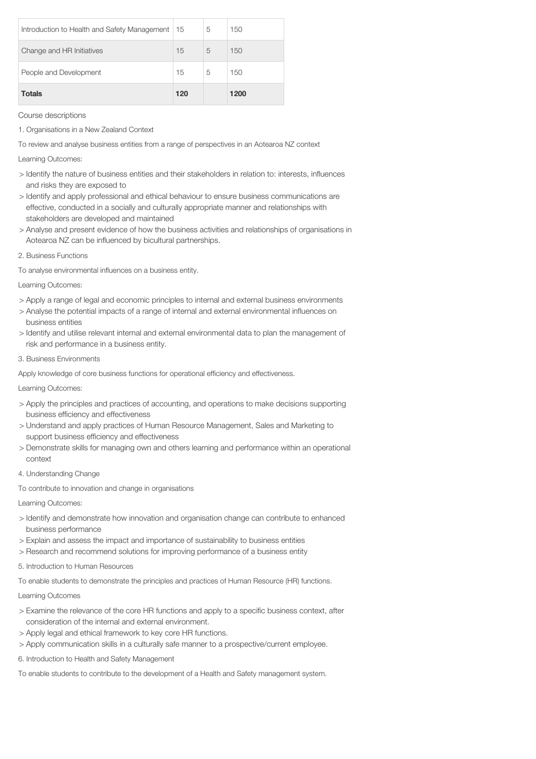| <b>Totals</b>                                | 120 |   | 1200 |
|----------------------------------------------|-----|---|------|
| People and Development                       | 15  | 5 | 150  |
| Change and HR Initiatives                    | 15  | 5 | 150  |
| Introduction to Health and Safety Management | 15  | 5 | 150  |

Course descriptions

1. Organisations in a New Zealand Context

To review and analyse business entities from a range of perspectives in an Aotearoa NZ context

Learning Outcomes:

- > Identify the nature of business entities and their stakeholders in relation to: interests, influences and risks they are exposed to
- > Identify and apply professional and ethical behaviour to ensure business communications are effective, conducted in a socially and culturally appropriate manner and relationships with stakeholders are developed and maintained
- > Analyse and present evidence of how the business activities and relationships of organisations in Aotearoa NZ can be influenced by bicultural partnerships.
- 2. Business Functions

To analyse environmental influences on a business entity.

Learning Outcomes:

- > Apply a range of legal and economic principles to internal and external business environments
- > Analyse the potential impacts of a range of internal and external environmental influences on business entities
- > Identify and utilise relevant internal and external environmental data to plan the management of risk and performance in a business entity.
- 3. Business Environments

Apply knowledge of core business functions for operational efficiency and effectiveness.

Learning Outcomes:

- > Apply the principles and practices of accounting, and operations to make decisions supporting business efficiency and effectiveness
- > Understand and apply practices of Human Resource Management, Sales and Marketing to support business efficiency and effectiveness
- > Demonstrate skills for managing own and others learning and performance within an operational context
- 4. Understanding Change
- To contribute to innovation and change in organisations

Learning Outcomes:

- > Identify and demonstrate how innovation and organisation change can contribute to enhanced business performance
- > Explain and assess the impact and importance of sustainability to business entities
- > Research and recommend solutions for improving performance of a business entity

5. Introduction to Human Resources

To enable students to demonstrate the principles and practices of Human Resource (HR) functions.

Learning Outcomes

- > Examine the relevance of the core HR functions and apply to a specific business context, after consideration of the internal and external environment.
- > Apply legal and ethical framework to key core HR functions.
- > Apply communication skills in a culturally safe manner to a prospective/current employee.
- 6. Introduction to Health and Safety Management

To enable students to contribute to the development of a Health and Safety management system.